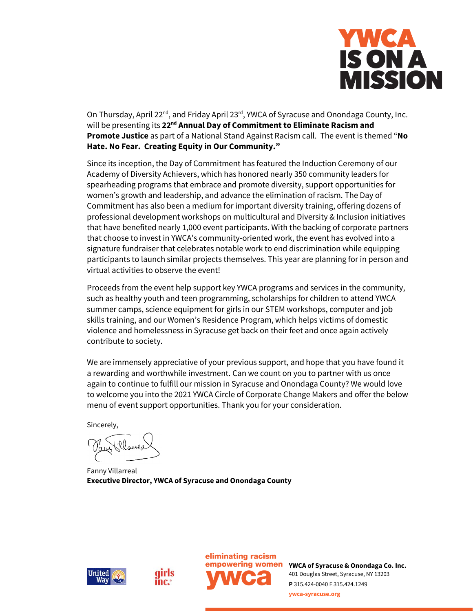

On Thursday, April 22<sup>nd</sup>, and Friday April 23<sup>rd</sup>, YWCA of Syracuse and Onondaga County, Inc. will be presenting its **22nd Annual Day of Commitment to Eliminate Racism and Promote Justice** as part of a National Stand Against Racism call. The event is themed "**No Hate. No Fear. Creating Equity in Our Community."**

Since its inception, the Day of Commitment has featured the Induction Ceremony of our Academy of Diversity Achievers, which has honored nearly 350 community leaders for spearheading programs that embrace and promote diversity, support opportunities for women's growth and leadership, and advance the elimination of racism. The Day of Commitment has also been a medium for important diversity training, offering dozens of professional development workshops on multicultural and Diversity & Inclusion initiatives that have benefited nearly 1,000 event participants. With the backing of corporate partners that choose to invest in YWCA's community-oriented work, the event has evolved into a signature fundraiser that celebrates notable work to end discrimination while equipping participants to launch similar projects themselves. This year are planning for in person and virtual activities to observe the event!

Proceeds from the event help support key YWCA programs and services in the community, such as healthy youth and teen programming, scholarships for children to attend YWCA summer camps, science equipment for girls in our STEM workshops, computer and job skills training, and our Women's Residence Program, which helps victims of domestic violence and homelessness in Syracuse get back on their feet and once again actively contribute to society.

We are immensely appreciative of your previous support, and hope that you have found it a rewarding and worthwhile investment. Can we count on you to partner with us once again to continue to fulfill our mission in Syracuse and Onondaga County? We would love to welcome you into the 2021 YWCA Circle of Corporate Change Makers and offer the below menu of event support opportunities. Thank you for your consideration.

Sincerely,

Plames

Fanny Villarreal **Executive Director, YWCA of Syracuse and Onondaga County**







**empowering women** YWCA of Syracuse & Onondaga Co. Inc. 401 Douglas Street, Syracuse, NY 13203 **P** 315.424-0040 F 315.424.1249 **ywca-syracuse.org**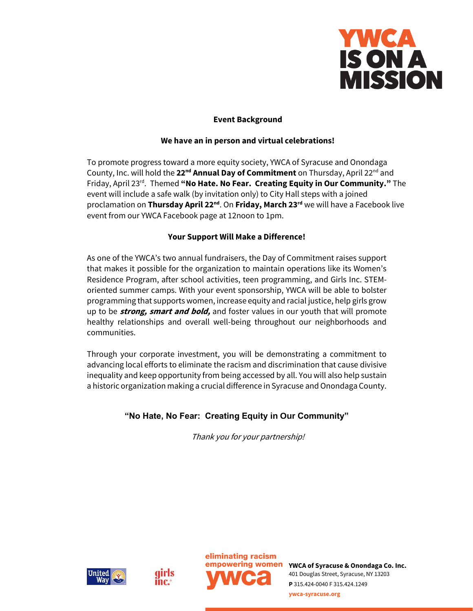

## **Event Background**

#### **We have an in person and virtual celebrations!**

To promote progress toward a more equity society, YWCA of Syracuse and Onondaga County, Inc. will hold the **22nd Annual Day of Commitment** on Thursday, April 22nd and Friday, April 23rd . Themed **"No Hate. No Fear. Creating Equity in Our Community."** The event will include a safe walk (by invitation only) to City Hall steps with a joined proclamation on **Thursday April 22nd**. On **Friday, March 23rd** we will have a Facebook live event from our YWCA Facebook page at 12noon to 1pm.

#### **Your Support Will Make a Difference!**

As one of the YWCA's two annual fundraisers, the Day of Commitment raises support that makes it possible for the organization to maintain operations like its Women's Residence Program, after school activities, teen programming, and Girls Inc. STEMoriented summer camps. With your event sponsorship, YWCA will be able to bolster programming that supports women, increase equity and racial justice, help girls grow up to be **strong, smart and bold,** and foster values in our youth that will promote healthy relationships and overall well-being throughout our neighborhoods and communities.

Through your corporate investment, you will be demonstrating a commitment to advancing local efforts to eliminate the racism and discrimination that cause divisive inequality and keep opportunity from being accessed by all. You will also help sustain a historic organization making a crucial difference in Syracuse and Onondaga County.

# **"No Hate, No Fear: Creating Equity in Our Community"**

Thank you for your partnership!







**YWCA of Syracuse & Onondaga Co. Inc.** 401 Douglas Street, Syracuse, NY 13203 **P** 315.424-0040 F 315.424.1249 **ywca-syracuse.org**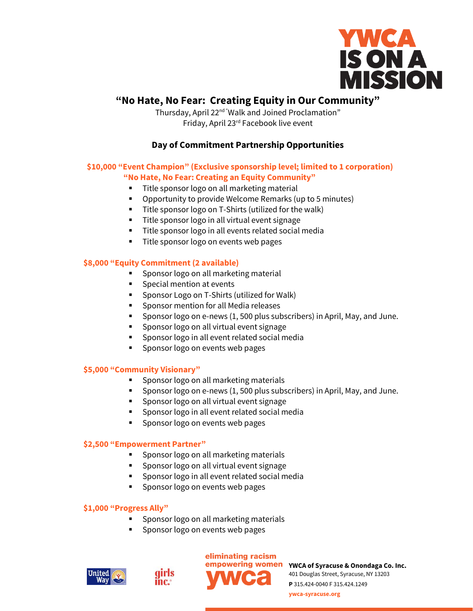

# **"No Hate, No Fear: Creating Equity in Our Community"**

Thursday, April 22<sup>nd "</sup>Walk and Joined Proclamation" Friday, April 23rd Facebook live event

# **Day of Commitment Partnership Opportunities**

# **\$10,000 "Event Champion" (Exclusive sponsorship level; limited to 1 corporation)**

# **"No Hate, No Fear: Creating an Equity Community"**

- Title sponsor logo on all marketing material
- Opportunity to provide Welcome Remarks (up to 5 minutes)
- Title sponsor logo on T-Shirts (utilized for the walk)
- Title sponsor logo in all virtual event signage
- Title sponsor logo in all events related social media
- Title sponsor logo on events web pages

## **\$8,000 "Equity Commitment (2 available)**

- Sponsor logo on all marketing material
- Special mention at events
- Sponsor Logo on T-Shirts (utilized for Walk)
- Sponsor mention for all Media releases
- Sponsor logo on e-news (1, 500 plus subscribers) in April, May, and June.
- Sponsor logo on all virtual event signage
- Sponsor logo in all event related social media
- Sponsor logo on events web pages

#### **\$5,000 "Community Visionary"**

- Sponsor logo on all marketing materials
- Sponsor logo on e-news (1, 500 plus subscribers) in April, May, and June.
- Sponsor logo on all virtual event signage
- Sponsor logo in all event related social media
- Sponsor logo on events web pages

#### **\$2,500 "Empowerment Partner"**

- Sponsor logo on all marketing materials
- Sponsor logo on all virtual event signage
- Sponsor logo in all event related social media
- Sponsor logo on events web pages

#### **\$1,000 "Progress Ally"**

- Sponsor logo on all marketing materials
- Sponsor logo on events web pages

qirls

inc.





**empowering women** YWCA of Syracuse & Onondaga Co. Inc. 401 Douglas Street, Syracuse, NY 13203 **P** 315.424-0040 F 315.424.1249

**ywca-syracuse.org**